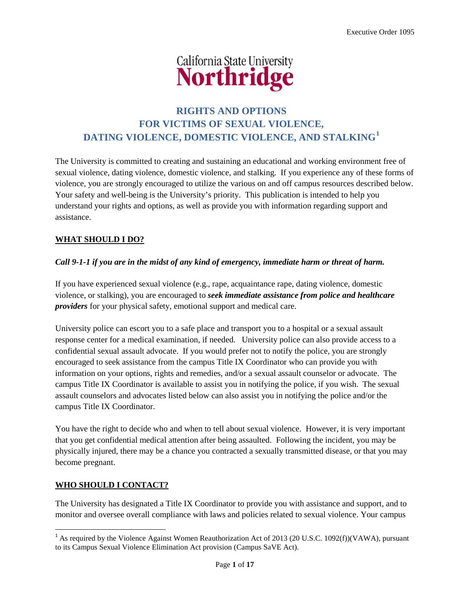

# **RIGHTS AND OPTIONS FOR VICTIMS OF SEXUAL VIOLENCE, DATING VIOLENCE, DOMESTIC VIOLENCE, AND STALKING[1](#page-0-0)**

The University is committed to creating and sustaining an educational and working environment free of sexual violence, dating violence, domestic violence, and stalking. If you experience any of these forms of violence, you are strongly encouraged to utilize the various on and off campus resources described below. Your safety and well-being is the University's priority. This publication is intended to help you understand your rights and options, as well as provide you with information regarding support and assistance.

## **WHAT SHOULD I DO?**

## *Call 9-1-1 if you are in the midst of any kind of emergency, immediate harm or threat of harm.*

If you have experienced sexual violence (e.g., rape, acquaintance rape, dating violence, domestic violence, or stalking), you are encouraged to *seek immediate assistance from police and healthcare providers* for your physical safety, emotional support and medical care.

University police can escort you to a safe place and transport you to a hospital or a sexual assault response center for a medical examination, if needed. University police can also provide access to a confidential sexual assault advocate. If you would prefer not to notify the police, you are strongly encouraged to seek assistance from the campus Title IX Coordinator who can provide you with information on your options, rights and remedies, and/or a sexual assault counselor or advocate. The campus Title IX Coordinator is available to assist you in notifying the police, if you wish. The sexual assault counselors and advocates listed below can also assist you in notifying the police and/or the campus Title IX Coordinator.

You have the right to decide who and when to tell about sexual violence. However, it is very important that you get confidential medical attention after being assaulted. Following the incident, you may be physically injured, there may be a chance you contracted a sexually transmitted disease, or that you may become pregnant.

## **WHO SHOULD I CONTACT?**

The University has designated a Title IX Coordinator to provide you with assistance and support, and to monitor and oversee overall compliance with laws and policies related to sexual violence. Your campus

<span id="page-0-0"></span><sup>&</sup>lt;sup>1</sup> As required by the Violence Against Women Reauthorization Act of 2013 (20 U.S.C. 1092(f))(VAWA), pursuant to its Campus Sexual Violence Elimination Act provision (Campus SaVE Act).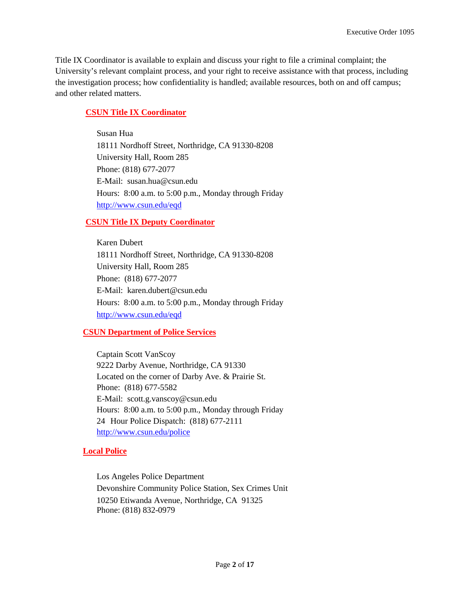Title IX Coordinator is available to explain and discuss your right to file a criminal complaint; the University's relevant complaint process, and your right to receive assistance with that process, including the investigation process; how confidentiality is handled; available resources, both on and off campus; and other related matters.

## **CSUN Title IX Coordinator**

Susan Hua 18111 Nordhoff Street, Northridge, CA 91330-8208 University Hall, Room 285 Phone: (818) 677-2077 E-Mail: susan.hua@csun.edu Hours: 8:00 a.m. to 5:00 p.m., Monday through Friday <http://www.csun.edu/eqd>

## **CSUN Title IX Deputy Coordinator**

Karen Dubert 18111 Nordhoff Street, Northridge, CA 91330-8208 University Hall, Room 285 Phone: (818) 677-2077 E-Mail: karen.dubert@csun.edu Hours: 8:00 a.m. to 5:00 p.m., Monday through Friday <http://www.csun.edu/eqd>

## **CSUN Department of Police Services**

Captain Scott VanScoy 9222 Darby Avenue, Northridge, CA 91330 Located on the corner of Darby Ave. & Prairie St. Phone: (818) 677-5582 E-Mail: scott.g.vanscoy@csun.edu Hours: 8:00 a.m. to 5:00 p.m., Monday through Friday 24 Hour Police Dispatch: (818) 677-2111 <http://www.csun.edu/police>

## **Local Police**

Los Angeles Police Department Devonshire Community Police Station, Sex Crimes Unit 10250 Etiwanda Avenue, Northridge, CA 91325 Phone: (818) 832-0979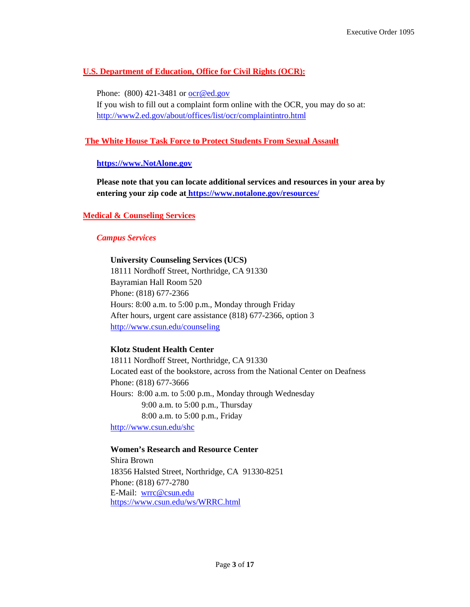## **U.S. Department of Education, Office for Civil Rights (OCR):**

Phone: (800) 421-3481 or [ocr@ed.gov](mailto:ocr@ed.gov) If you wish to fill out a complaint form online with the OCR, you may do so at: <http://www2.ed.gov/about/offices/list/ocr/complaintintro.html>

## **The White House Task Force to Protect Students From Sexual Assault**

### **[https://www.NotAlone.gov](https://www.notalone.gov/)**

**Please note that you can locate additional services and resources in your area by entering your zip code at <https://www.notalone.gov/resources/>**

## **Medical & Counseling Services**

### *Campus Services*

### **University Counseling Services (UCS)**

18111 Nordhoff Street, Northridge, CA 91330 Bayramian Hall Room 520 Phone: (818) 677-2366 Hours: 8:00 a.m. to 5:00 p.m., Monday through Friday After hours, urgent care assistance (818) 677-2366, option 3 <http://www.csun.edu/counseling>

### **Klotz Student Health Center**

18111 Nordhoff Street, Northridge, CA 91330 Located east of the bookstore, across from the National Center on Deafness Phone: (818) 677-3666 Hours: 8:00 a.m. to 5:00 p.m., Monday through Wednesday 9:00 a.m. to 5:00 p.m., Thursday 8:00 a.m. to 5:00 p.m., Friday

<http://www.csun.edu/shc>

### **Women's Research and Resource Center**

Shira Brown 18356 Halsted Street, Northridge, CA 91330-8251 Phone: (818) 677-2780 E-Mail: [wrrc@csun.edu](mailto:wrrc@csun.edu) <https://www.csun.edu/ws/WRRC.html>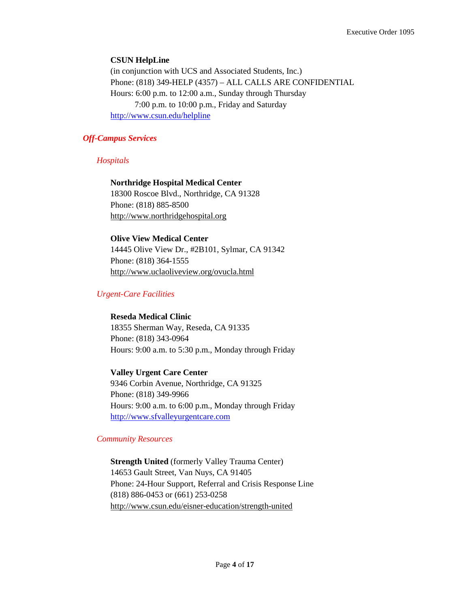### **CSUN HelpLine**

(in conjunction with UCS and Associated Students, Inc.) Phone: (818) 349-HELP (4357) – ALL CALLS ARE CONFIDENTIAL Hours: 6:00 p.m. to 12:00 a.m., Sunday through Thursday 7:00 p.m. to 10:00 p.m., Friday and Saturday <http://www.csun.edu/helpline>

### *Off-Campus Services*

*Hospitals*

## **Northridge Hospital Medical Center** 18300 Roscoe Blvd., Northridge, CA 91328

Phone: (818) 885-8500 [http://www.northridgehospital.org](http://www.northridgehospital.org/)

### **Olive View Medical Center**

14445 Olive View Dr., #2B101, Sylmar, CA 91342 Phone: (818) 364-1555 <http://www.uclaoliveview.org/ovucla.html>

## *Urgent-Care Facilities*

### **Reseda Medical Clinic**

18355 Sherman Way, Reseda, CA 91335 Phone: (818) 343-0964 Hours: 9:00 a.m. to 5:30 p.m., Monday through Friday

### **Valley Urgent Care Center**

9346 Corbin Avenue, Northridge, CA 91325 Phone: (818) 349-9966 Hours: 9:00 a.m. to 6:00 p.m., Monday through Friday [http://www.sfvalleyurgentcare.com](http://www.sfvalleyurgentcare.com/)

### *Community Resources*

**Strength United** (formerly Valley Trauma Center) 14653 Gault Street, Van Nuys, CA 91405 Phone: 24-Hour Support, Referral and Crisis Response Line (818) 886-0453 or (661) 253-0258 <http://www.csun.edu/eisner-education/strength-united>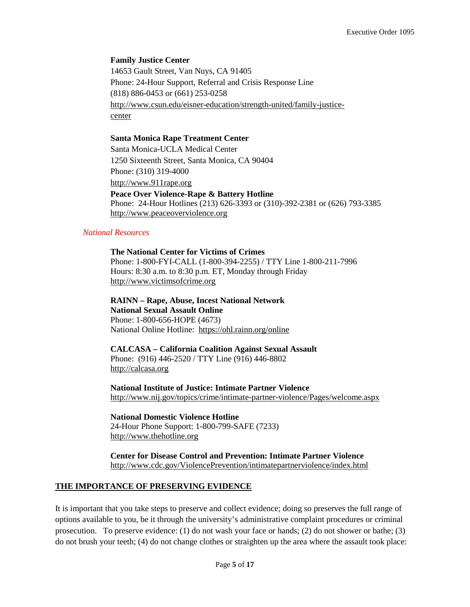#### **Family Justice Center**

14653 Gault Street, Van Nuys, CA 91405 Phone: 24-Hour Support, Referral and Crisis Response Line (818) 886-0453 or (661) 253-0258 [http://www.csun.edu/eisner-education/strength-united/family-justice](http://www.csun.edu/eisner-education/strength-united/family-justice-center)[center](http://www.csun.edu/eisner-education/strength-united/family-justice-center)

#### **Santa Monica Rape Treatment Center**

Santa Monica-UCLA Medical Center 1250 Sixteenth Street, Santa Monica, CA 90404 Phone: (310) 319-4000 [http://www.911rape.org](http://www.911rape.org/) **Peace Over Violence-Rape & Battery Hotline** Phone: 24-Hour Hotlines (213) 626-3393 or (310)-392-2381 or (626) 793-3385 [http://www.peaceoverviolence.org](http://www.peaceoverviolence.org/)

### *National Resources*

**The National Center for Victims of Crimes** Phone: 1-800-FYI-CALL (1-800-394-2255) / TTY Line 1-800-211-7996 Hours: 8:30 a.m. to 8:30 p.m. ET, Monday through Friday [http://www.victimsofcrime.org](http://www.victimsofcrime.org/)

**RAINN – Rape, Abuse, Incest National Network National Sexual Assault Online** Phone: 1-800-656-HOPE (4673) National Online Hotline: <https://ohl.rainn.org/online>

#### **CALCASA – California Coalition Against Sexual Assault**

Phone: (916) 446-2520 / TTY Line (916) 446-8802 [http://calcasa.org](http://calcasa.org/)

**National Institute of Justice: Intimate Partner Violence** <http://www.nij.gov/topics/crime/intimate-partner-violence/Pages/welcome.aspx>

**National Domestic Violence Hotline** 24-Hour Phone Support: 1-800-799-SAFE (7233) [http://www.thehotline.org](http://www.thehotline.org/)

**Center for Disease Control and Prevention: Intimate Partner Violence** <http://www.cdc.gov/ViolencePrevention/intimatepartnerviolence/index.html>

### **THE IMPORTANCE OF PRESERVING EVIDENCE**

It is important that you take steps to preserve and collect evidence; doing so preserves the full range of options available to you, be it through the university's administrative complaint procedures or criminal prosecution. To preserve evidence: (1) do not wash your face or hands; (2) do not shower or bathe; (3) do not brush your teeth; (4) do not change clothes or straighten up the area where the assault took place: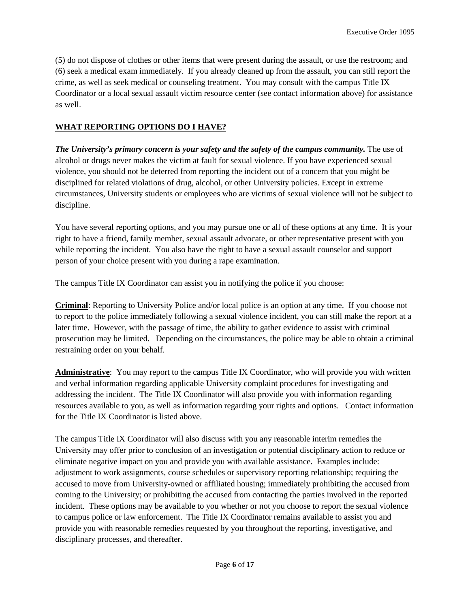(5) do not dispose of clothes or other items that were present during the assault, or use the restroom; and (6) seek a medical exam immediately. If you already cleaned up from the assault, you can still report the crime, as well as seek medical or counseling treatment. You may consult with the campus Title IX Coordinator or a local sexual assault victim resource center (see contact information above) for assistance as well.

### **WHAT REPORTING OPTIONS DO I HAVE?**

*The University's primary concern is your safety and the safety of the campus community.* The use of alcohol or drugs never makes the victim at fault for sexual violence. If you have experienced sexual violence, you should not be deterred from reporting the incident out of a concern that you might be disciplined for related violations of drug, alcohol, or other University policies. Except in extreme circumstances, University students or employees who are victims of sexual violence will not be subject to discipline.

You have several reporting options, and you may pursue one or all of these options at any time. It is your right to have a friend, family member, sexual assault advocate, or other representative present with you while reporting the incident. You also have the right to have a sexual assault counselor and support person of your choice present with you during a rape examination.

The campus Title IX Coordinator can assist you in notifying the police if you choose:

**Criminal**: Reporting to University Police and/or local police is an option at any time. If you choose not to report to the police immediately following a sexual violence incident, you can still make the report at a later time. However, with the passage of time, the ability to gather evidence to assist with criminal prosecution may be limited. Depending on the circumstances, the police may be able to obtain a criminal restraining order on your behalf.

**Administrative**: You may report to the campus Title IX Coordinator, who will provide you with written and verbal information regarding applicable University complaint procedures for investigating and addressing the incident. The Title IX Coordinator will also provide you with information regarding resources available to you, as well as information regarding your rights and options. Contact information for the Title IX Coordinator is listed above.

The campus Title IX Coordinator will also discuss with you any reasonable interim remedies the University may offer prior to conclusion of an investigation or potential disciplinary action to reduce or eliminate negative impact on you and provide you with available assistance. Examples include: adjustment to work assignments, course schedules or supervisory reporting relationship; requiring the accused to move from University-owned or affiliated housing; immediately prohibiting the accused from coming to the University; or prohibiting the accused from contacting the parties involved in the reported incident. These options may be available to you whether or not you choose to report the sexual violence to campus police or law enforcement. The Title IX Coordinator remains available to assist you and provide you with reasonable remedies requested by you throughout the reporting, investigative, and disciplinary processes, and thereafter.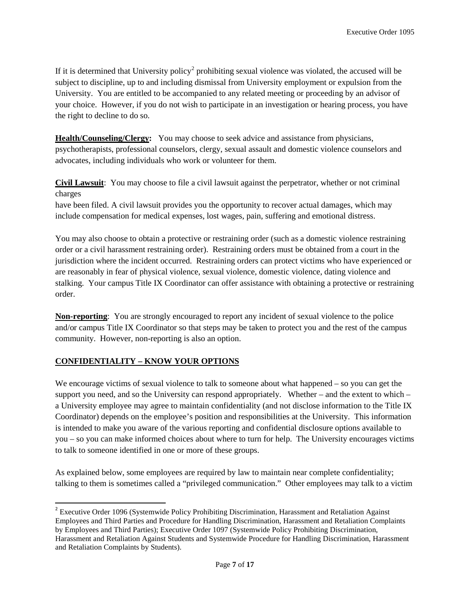If it is determined that University policy<sup>[2](#page-6-0)</sup> prohibiting sexual violence was violated, the accused will be subject to discipline, up to and including dismissal from University employment or expulsion from the University. You are entitled to be accompanied to any related meeting or proceeding by an advisor of your choice. However, if you do not wish to participate in an investigation or hearing process, you have the right to decline to do so.

**Health/Counseling/Clergy:** You may choose to seek advice and assistance from physicians, psychotherapists, professional counselors, clergy, sexual assault and domestic violence counselors and advocates, including individuals who work or volunteer for them.

**Civil Lawsuit**: You may choose to file a civil lawsuit against the perpetrator, whether or not criminal charges

have been filed. A civil lawsuit provides you the opportunity to recover actual damages, which may include compensation for medical expenses, lost wages, pain, suffering and emotional distress.

You may also choose to obtain a protective or restraining order (such as a domestic violence restraining order or a civil harassment restraining order). Restraining orders must be obtained from a court in the jurisdiction where the incident occurred. Restraining orders can protect victims who have experienced or are reasonably in fear of physical violence, sexual violence, domestic violence, dating violence and stalking. Your campus Title IX Coordinator can offer assistance with obtaining a protective or restraining order.

**Non-reporting**: You are strongly encouraged to report any incident of sexual violence to the police and/or campus Title IX Coordinator so that steps may be taken to protect you and the rest of the campus community. However, non-reporting is also an option.

## **CONFIDENTIALITY – KNOW YOUR OPTIONS**

We encourage victims of sexual violence to talk to someone about what happened – so you can get the support you need, and so the University can respond appropriately. Whether – and the extent to which – a University employee may agree to maintain confidentiality (and not disclose information to the Title IX Coordinator) depends on the employee's position and responsibilities at the University. This information is intended to make you aware of the various reporting and confidential disclosure options available to you – so you can make informed choices about where to turn for help. The University encourages victims to talk to someone identified in one or more of these groups.

As explained below, some employees are required by law to maintain near complete confidentiality; talking to them is sometimes called a "privileged communication." Other employees may talk to a victim

<span id="page-6-0"></span><sup>&</sup>lt;sup>2</sup> Executive Order 1096 (Systemwide Policy Prohibiting Discrimination, Harassment and Retaliation Against Employees and Third Parties and Procedure for Handling Discrimination, Harassment and Retaliation Complaints by Employees and Third Parties); Executive Order 1097 (Systemwide Policy Prohibiting Discrimination, Harassment and Retaliation Against Students and Systemwide Procedure for Handling Discrimination, Harassment and Retaliation Complaints by Students).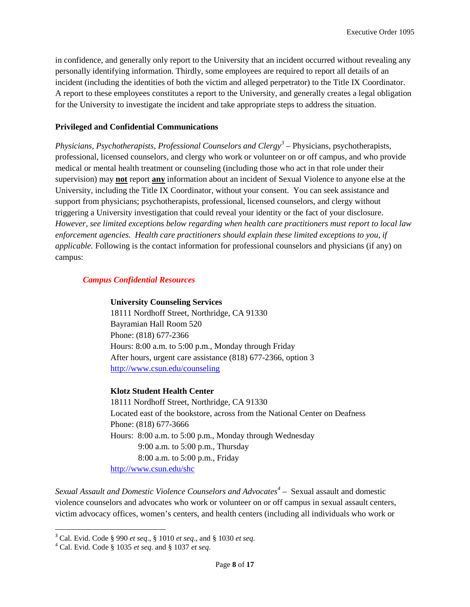in confidence, and generally only report to the University that an incident occurred without revealing any personally identifying information. Thirdly, some employees are required to report all details of an incident (including the identities of both the victim and alleged perpetrator) to the Title IX Coordinator. A report to these employees constitutes a report to the University, and generally creates a legal obligation for the University to investigate the incident and take appropriate steps to address the situation.

### **Privileged and Confidential Communications**

*Physicians, Psychotherapists, Professional Counselors and Clergy[3](#page-7-0)* – Physicians, psychotherapists, professional, licensed counselors, and clergy who work or volunteer on or off campus, and who provide medical or mental health treatment or counseling (including those who act in that role under their supervision) may **not** report **any** information about an incident of Sexual Violence to anyone else at the University, including the Title IX Coordinator, without your consent. You can seek assistance and support from physicians; psychotherapists, professional, licensed counselors, and clergy without triggering a University investigation that could reveal your identity or the fact of your disclosure. *However, see limited exceptions below regarding when health care practitioners must report to local law enforcement agencies. Health care practitioners should explain these limited exceptions to you, if applicable.* Following is the contact information for professional counselors and physicians (if any) on campus:

### *Campus Confidential Resources*

#### **University Counseling Services**

18111 Nordhoff Street, Northridge, CA 91330 Bayramian Hall Room 520 Phone: (818) 677-2366 Hours: 8:00 a.m. to 5:00 p.m., Monday through Friday After hours, urgent care assistance (818) 677-2366, option 3 <http://www.csun.edu/counseling>

### **Klotz Student Health Center**

18111 Nordhoff Street, Northridge, CA 91330 Located east of the bookstore, across from the National Center on Deafness Phone: (818) 677-3666 Hours: 8:00 a.m. to 5:00 p.m., Monday through Wednesday 9:00 a.m. to 5:00 p.m., Thursday 8:00 a.m. to 5:00 p.m., Friday <http://www.csun.edu/shc>

*Sexual Assault and Domestic Violence Counselors and Advocates[4](#page-7-1)* – Sexual assault and domestic violence counselors and advocates who work or volunteer on or off campus in sexual assault centers, victim advocacy offices, women's centers, and health centers (including all individuals who work or

<span id="page-7-0"></span><sup>3</sup> Cal. Evid. Code § 990 *et seq*., § 1010 *et seq*., and § 1030 *et seq*. <sup>4</sup> Cal. Evid. Code § 1035 *et seq*. and § 1037 *et seq*.

<span id="page-7-1"></span>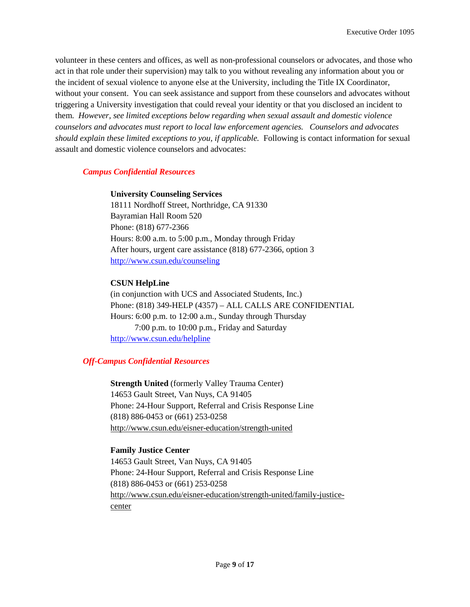volunteer in these centers and offices, as well as non-professional counselors or advocates, and those who act in that role under their supervision) may talk to you without revealing any information about you or the incident of sexual violence to anyone else at the University, including the Title IX Coordinator, without your consent. You can seek assistance and support from these counselors and advocates without triggering a University investigation that could reveal your identity or that you disclosed an incident to them. *However, see limited exceptions below regarding when sexual assault and domestic violence counselors and advocates must report to local law enforcement agencies. Counselors and advocates should explain these limited exceptions to you, if applicable.* Following is contact information for sexual assault and domestic violence counselors and advocates:

### *Campus Confidential Resources*

### **University Counseling Services**

18111 Nordhoff Street, Northridge, CA 91330 Bayramian Hall Room 520 Phone: (818) 677-2366 Hours: 8:00 a.m. to 5:00 p.m., Monday through Friday After hours, urgent care assistance (818) 677-2366, option 3 <http://www.csun.edu/counseling>

## **CSUN HelpLine**

(in conjunction with UCS and Associated Students, Inc.) Phone: (818) 349-HELP (4357) – ALL CALLS ARE CONFIDENTIAL Hours: 6:00 p.m. to 12:00 a.m., Sunday through Thursday 7:00 p.m. to 10:00 p.m., Friday and Saturday <http://www.csun.edu/helpline>

## *Off-Campus Confidential Resources*

**Strength United** (formerly Valley Trauma Center) 14653 Gault Street, Van Nuys, CA 91405 Phone: 24-Hour Support, Referral and Crisis Response Line (818) 886-0453 or (661) 253-0258 <http://www.csun.edu/eisner-education/strength-united>

## **Family Justice Center**

14653 Gault Street, Van Nuys, CA 91405 Phone: 24-Hour Support, Referral and Crisis Response Line (818) 886-0453 or (661) 253-0258 [http://www.csun.edu/eisner-education/strength-united/family-justice](http://www.csun.edu/eisner-education/strength-united/family-justice-center)[center](http://www.csun.edu/eisner-education/strength-united/family-justice-center)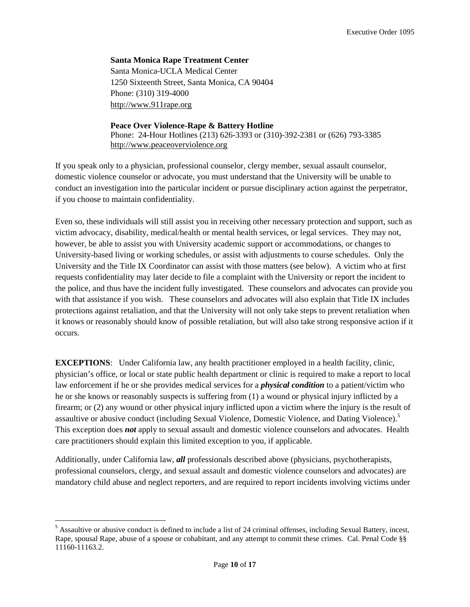**Santa Monica Rape Treatment Center** Santa Monica-UCLA Medical Center 1250 Sixteenth Street, Santa Monica, CA 90404 Phone: (310) 319-4000 [http://www.911rape.org](http://www.911rape.org/)

### **Peace Over Violence-Rape & Battery Hotline** Phone: 24-Hour Hotlines (213) 626-3393 or (310)-392-2381 or (626) 793-3385 [http://www.peaceoverviolence.org](http://www.peaceoverviolence.org/)

If you speak only to a physician, professional counselor, clergy member, sexual assault counselor, domestic violence counselor or advocate, you must understand that the University will be unable to conduct an investigation into the particular incident or pursue disciplinary action against the perpetrator, if you choose to maintain confidentiality.

Even so, these individuals will still assist you in receiving other necessary protection and support, such as victim advocacy, disability, medical/health or mental health services, or legal services. They may not, however, be able to assist you with University academic support or accommodations, or changes to University-based living or working schedules, or assist with adjustments to course schedules. Only the University and the Title IX Coordinator can assist with those matters (see below). A victim who at first requests confidentiality may later decide to file a complaint with the University or report the incident to the police, and thus have the incident fully investigated. These counselors and advocates can provide you with that assistance if you wish. These counselors and advocates will also explain that Title IX includes protections against retaliation, and that the University will not only take steps to prevent retaliation when it knows or reasonably should know of possible retaliation, but will also take strong responsive action if it occurs.

**EXCEPTIONS**: Under California law, any health practitioner employed in a health facility, clinic, physician's office, or local or state public health department or clinic is required to make a report to local law enforcement if he or she provides medical services for a *physical condition* to a patient/victim who he or she knows or reasonably suspects is suffering from (1) a wound or physical injury inflicted by a firearm; or (2) any wound or other physical injury inflicted upon a victim where the injury is the result of assaultive or abusive conduct (including Sexual Violence, Domestic Violence, and Dating Violence).<sup>[5](#page-9-0)</sup> This exception does *not* apply to sexual assault and domestic violence counselors and advocates. Health care practitioners should explain this limited exception to you, if applicable.

Additionally, under California law, *all* professionals described above (physicians, psychotherapists, professional counselors, clergy, and sexual assault and domestic violence counselors and advocates) are mandatory child abuse and neglect reporters, and are required to report incidents involving victims under

<span id="page-9-0"></span><sup>&</sup>lt;sup>5</sup> Assaultive or abusive conduct is defined to include a list of 24 criminal offenses, including Sexual Battery, incest, Rape, spousal Rape, abuse of a spouse or cohabitant, and any attempt to commit these crimes. Cal. Penal Code §§ 11160-11163.2.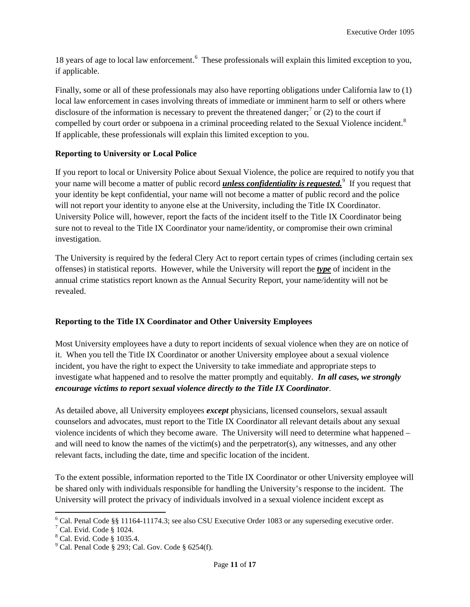18 years of age to local law enforcement.<sup>[6](#page-10-0)</sup> These professionals will explain this limited exception to you, if applicable.

Finally, some or all of these professionals may also have reporting obligations under California law to (1) local law enforcement in cases involving threats of immediate or imminent harm to self or others where disclosure of the information is necessary to prevent the threatened danger;<sup>[7](#page-10-1)</sup> or (2) to the court if compelled by court order or subpoena in a criminal proceeding related to the Sexual Violence incident.<sup>[8](#page-10-2)</sup> If applicable, these professionals will explain this limited exception to you.

## **Reporting to University or Local Police**

If you report to local or University Police about Sexual Violence, the police are required to notify you that your name will become a matter of public record *unless confidentiality is requested.*[9](#page-10-3) If you request that your identity be kept confidential, your name will not become a matter of public record and the police will not report your identity to anyone else at the University, including the Title IX Coordinator. University Police will, however, report the facts of the incident itself to the Title IX Coordinator being sure not to reveal to the Title IX Coordinator your name/identity, or compromise their own criminal investigation.

The University is required by the federal Clery Act to report certain types of crimes (including certain sex offenses) in statistical reports. However, while the University will report the *type* of incident in the annual crime statistics report known as the Annual Security Report, your name/identity will not be revealed.

## **Reporting to the Title IX Coordinator and Other University Employees**

Most University employees have a duty to report incidents of sexual violence when they are on notice of it. When you tell the Title IX Coordinator or another University employee about a sexual violence incident, you have the right to expect the University to take immediate and appropriate steps to investigate what happened and to resolve the matter promptly and equitably. *In all cases, we strongly encourage victims to report sexual violence directly to the Title IX Coordinator*.

As detailed above, all University employees *except* physicians, licensed counselors, sexual assault counselors and advocates, must report to the Title IX Coordinator all relevant details about any sexual violence incidents of which they become aware. The University will need to determine what happened – and will need to know the names of the victim(s) and the perpetrator(s), any witnesses, and any other relevant facts, including the date, time and specific location of the incident.

To the extent possible, information reported to the Title IX Coordinator or other University employee will be shared only with individuals responsible for handling the University's response to the incident. The University will protect the privacy of individuals involved in a sexual violence incident except as

<span id="page-10-1"></span><span id="page-10-0"></span><sup>&</sup>lt;sup>6</sup> Cal. Penal Code §§ 11164-11174.3; see also CSU Executive Order 1083 or any superseding executive order. <sup>7</sup> Cal. Evid. Code § 1024.

<span id="page-10-2"></span><sup>8</sup> Cal. Evid. Code § 1035.4.

<span id="page-10-3"></span> $9^9$  Cal. Penal Code § 293; Cal. Gov. Code § 6254(f).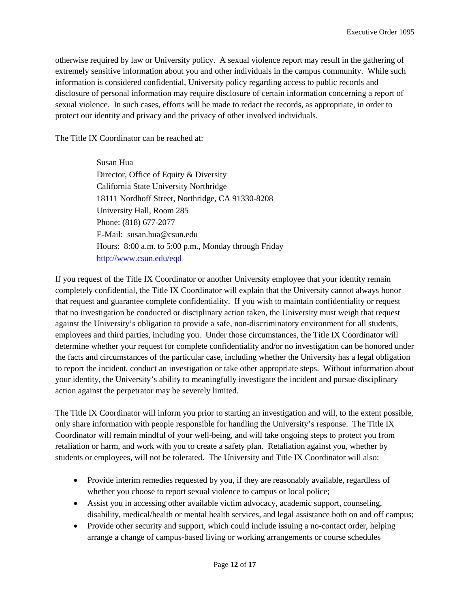otherwise required by law or University policy. A sexual violence report may result in the gathering of extremely sensitive information about you and other individuals in the campus community. While such information is considered confidential, University policy regarding access to public records and disclosure of personal information may require disclosure of certain information concerning a report of sexual violence. In such cases, efforts will be made to redact the records, as appropriate, in order to protect our identity and privacy and the privacy of other involved individuals.

The Title IX Coordinator can be reached at:

Susan Hua Director, Office of Equity & Diversity California State University Northridge 18111 Nordhoff Street, Northridge, CA 91330-8208 University Hall, Room 285 Phone: (818) 677-2077 E-Mail: susan.hua@csun.edu Hours: 8:00 a.m. to 5:00 p.m., Monday through Friday <http://www.csun.edu/eqd>

If you request of the Title IX Coordinator or another University employee that your identity remain completely confidential, the Title IX Coordinator will explain that the University cannot always honor that request and guarantee complete confidentiality. If you wish to maintain confidentiality or request that no investigation be conducted or disciplinary action taken, the University must weigh that request against the University's obligation to provide a safe, non-discriminatory environment for all students, employees and third parties, including you. Under those circumstances, the Title IX Coordinator will determine whether your request for complete confidentiality and/or no investigation can be honored under the facts and circumstances of the particular case, including whether the University has a legal obligation to report the incident, conduct an investigation or take other appropriate steps. Without information about your identity, the University's ability to meaningfully investigate the incident and pursue disciplinary action against the perpetrator may be severely limited.

The Title IX Coordinator will inform you prior to starting an investigation and will, to the extent possible, only share information with people responsible for handling the University's response. The Title IX Coordinator will remain mindful of your well-being, and will take ongoing steps to protect you from retaliation or harm, and work with you to create a safety plan. Retaliation against you, whether by students or employees, will not be tolerated. The University and Title IX Coordinator will also:

- Provide interim remedies requested by you, if they are reasonably available, regardless of whether you choose to report sexual violence to campus or local police;
- Assist you in accessing other available victim advocacy, academic support, counseling, disability, medical/health or mental health services, and legal assistance both on and off campus;
- Provide other security and support, which could include issuing a no-contact order, helping arrange a change of campus-based living or working arrangements or course schedules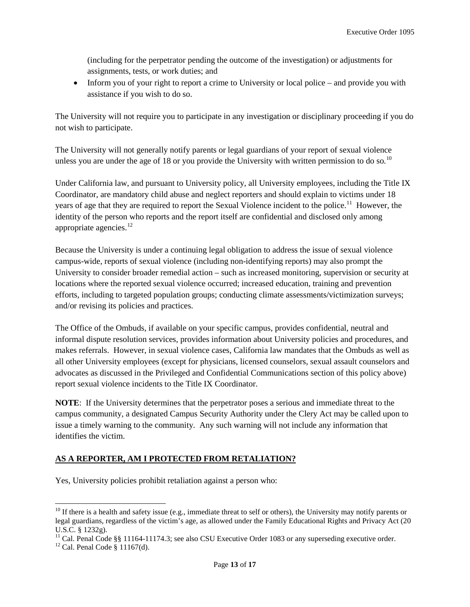(including for the perpetrator pending the outcome of the investigation) or adjustments for assignments, tests, or work duties; and

• Inform you of your right to report a crime to University or local police – and provide you with assistance if you wish to do so.

The University will not require you to participate in any investigation or disciplinary proceeding if you do not wish to participate.

The University will not generally notify parents or legal guardians of your report of sexual violence unless you are under the age of 18 or you provide the University with written permission to do so.<sup>[10](#page-12-0)</sup>

Under California law, and pursuant to University policy, all University employees, including the Title IX Coordinator, are mandatory child abuse and neglect reporters and should explain to victims under 18 years of age that they are required to report the Sexual Violence incident to the police.<sup>11</sup> However, the identity of the person who reports and the report itself are confidential and disclosed only among appropriate agencies. $12$ 

Because the University is under a continuing legal obligation to address the issue of sexual violence campus-wide, reports of sexual violence (including non-identifying reports) may also prompt the University to consider broader remedial action – such as increased monitoring, supervision or security at locations where the reported sexual violence occurred; increased education, training and prevention efforts, including to targeted population groups; conducting climate assessments/victimization surveys; and/or revising its policies and practices.

The Office of the Ombuds, if available on your specific campus, provides confidential, neutral and informal dispute resolution services, provides information about University policies and procedures, and makes referrals. However, in sexual violence cases, California law mandates that the Ombuds as well as all other University employees (except for physicians, licensed counselors, sexual assault counselors and advocates as discussed in the Privileged and Confidential Communications section of this policy above) report sexual violence incidents to the Title IX Coordinator.

**NOTE**: If the University determines that the perpetrator poses a serious and immediate threat to the campus community, a designated Campus Security Authority under the Clery Act may be called upon to issue a timely warning to the community. Any such warning will not include any information that identifies the victim.

## **AS A REPORTER, AM I PROTECTED FROM RETALIATION?**

Yes, University policies prohibit retaliation against a person who:

<span id="page-12-0"></span> $10$  If there is a health and safety issue (e.g., immediate threat to self or others), the University may notify parents or legal guardians, regardless of the victim's age, as allowed under the Family Educational Rights and Privacy Act (20 U.S.C. § 1232g).

<span id="page-12-1"></span><sup>&</sup>lt;sup>11</sup> Cal. Penal Code §§ 11164-11174.3; see also CSU Executive Order 1083 or any superseding executive order. <sup>12</sup> Cal. Penal Code § 11167(d).

<span id="page-12-2"></span>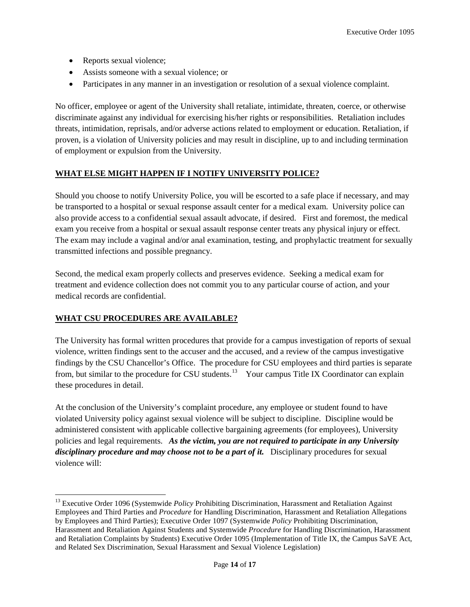- Reports sexual violence;
- Assists someone with a sexual violence; or
- Participates in any manner in an investigation or resolution of a sexual violence complaint.

No officer, employee or agent of the University shall retaliate, intimidate, threaten, coerce, or otherwise discriminate against any individual for exercising his/her rights or responsibilities. Retaliation includes threats, intimidation, reprisals, and/or adverse actions related to employment or education. Retaliation, if proven, is a violation of University policies and may result in discipline, up to and including termination of employment or expulsion from the University.

## **WHAT ELSE MIGHT HAPPEN IF I NOTIFY UNIVERSITY POLICE?**

Should you choose to notify University Police, you will be escorted to a safe place if necessary, and may be transported to a hospital or sexual response assault center for a medical exam. University police can also provide access to a confidential sexual assault advocate, if desired. First and foremost, the medical exam you receive from a hospital or sexual assault response center treats any physical injury or effect. The exam may include a vaginal and/or anal examination, testing, and prophylactic treatment for sexually transmitted infections and possible pregnancy.

Second, the medical exam properly collects and preserves evidence. Seeking a medical exam for treatment and evidence collection does not commit you to any particular course of action, and your medical records are confidential.

## **WHAT CSU PROCEDURES ARE AVAILABLE?**

The University has formal written procedures that provide for a campus investigation of reports of sexual violence, written findings sent to the accuser and the accused, and a review of the campus investigative findings by the CSU Chancellor's Office. The procedure for CSU employees and third parties is separate from, but similar to the procedure for CSU students.<sup>[13](#page-13-0)</sup> Your campus Title IX Coordinator can explain these procedures in detail.

At the conclusion of the University's complaint procedure, any employee or student found to have violated University policy against sexual violence will be subject to discipline. Discipline would be administered consistent with applicable collective bargaining agreements (for employees), University policies and legal requirements. *As the victim, you are not required to participate in any University disciplinary procedure and may choose not to be a part of it.* Disciplinary procedures for sexual violence will:

<span id="page-13-0"></span><sup>&</sup>lt;sup>13</sup> Executive Order 1096 (Systemwide *Policy* Prohibiting Discrimination, Harassment and Retaliation Against Employees and Third Parties and *Procedure* for Handling Discrimination, Harassment and Retaliation Allegations by Employees and Third Parties); Executive Order 1097 (Systemwide *Policy* Prohibiting Discrimination, Harassment and Retaliation Against Students and Systemwide *Procedure* for Handling Discrimination, Harassment and Retaliation Complaints by Students) Executive Order 1095 (Implementation of Title IX, the Campus SaVE Act, and Related Sex Discrimination, Sexual Harassment and Sexual Violence Legislation)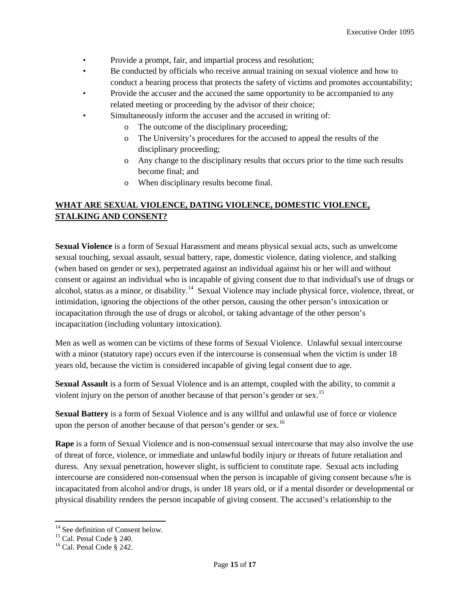- Provide a prompt, fair, and impartial process and resolution;
- Be conducted by officials who receive annual training on sexual violence and how to conduct a hearing process that protects the safety of victims and promotes accountability;
- Provide the accuser and the accused the same opportunity to be accompanied to any related meeting or proceeding by the advisor of their choice;
- Simultaneously inform the accuser and the accused in writing of:
	- o The outcome of the disciplinary proceeding;
	- o The University's procedures for the accused to appeal the results of the disciplinary proceeding;
	- o Any change to the disciplinary results that occurs prior to the time such results become final; and
	- o When disciplinary results become final.

## **WHAT ARE SEXUAL VIOLENCE, DATING VIOLENCE, DOMESTIC VIOLENCE, STALKING AND CONSENT?**

**Sexual Violence** is a form of Sexual Harassment and means physical sexual acts, such as unwelcome sexual touching, sexual assault, sexual battery, rape, domestic violence, dating violence, and stalking (when based on gender or sex), perpetrated against an individual against his or her will and without consent or against an individual who is incapable of giving consent due to that individual's use of drugs or alcohol, status as a minor, or disability.<sup>[14](#page-14-0)</sup> Sexual Violence may include physical force, violence, threat, or intimidation, ignoring the objections of the other person, causing the other person's intoxication or incapacitation through the use of drugs or alcohol, or taking advantage of the other person's incapacitation (including voluntary intoxication).

Men as well as women can be victims of these forms of Sexual Violence. Unlawful sexual intercourse with a minor (statutory rape) occurs even if the intercourse is consensual when the victim is under 18 years old, because the victim is considered incapable of giving legal consent due to age.

**Sexual Assault** is a form of Sexual Violence and is an attempt, coupled with the ability, to commit a violent injury on the person of another because of that person's gender or sex.<sup>[15](#page-14-1)</sup>

**Sexual Battery** is a form of Sexual Violence and is any willful and unlawful use of force or violence upon the person of another because of that person's gender or sex.<sup>[16](#page-14-2)</sup>

**Rape** is a form of Sexual Violence and is non-consensual sexual intercourse that may also involve the use of threat of force, violence, or immediate and unlawful bodily injury or threats of future retaliation and duress. Any sexual penetration, however slight, is sufficient to constitute rape. Sexual acts including intercourse are considered non-consensual when the person is incapable of giving consent because s/he is incapacitated from alcohol and/or drugs, is under 18 years old, or if a mental disorder or developmental or physical disability renders the person incapable of giving consent. The accused's relationship to the

<span id="page-14-1"></span><span id="page-14-0"></span><sup>&</sup>lt;sup>14</sup> See definition of Consent below.<br><sup>15</sup> Cal. Penal Code § 240.<br><sup>16</sup> Cal. Penal Code § 242.

<span id="page-14-2"></span>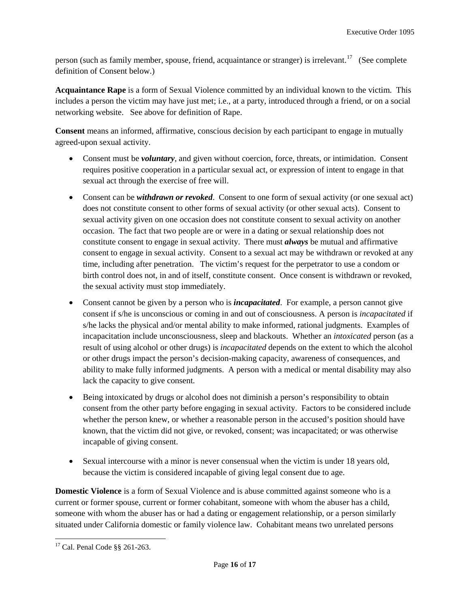person (such as family member, spouse, friend, acquaintance or stranger) is irrelevant.<sup>[17](#page-15-0)</sup> (See complete definition of Consent below.)

**Acquaintance Rape** is a form of Sexual Violence committed by an individual known to the victim. This includes a person the victim may have just met; i.e., at a party, introduced through a friend, or on a social networking website. See above for definition of Rape.

**Consent** means an informed, affirmative, conscious decision by each participant to engage in mutually agreed-upon sexual activity.

- Consent must be *voluntary*, and given without coercion, force, threats, or intimidation. Consent requires positive cooperation in a particular sexual act, or expression of intent to engage in that sexual act through the exercise of free will.
- Consent can be *withdrawn or revoked*. Consent to one form of sexual activity (or one sexual act) does not constitute consent to other forms of sexual activity (or other sexual acts). Consent to sexual activity given on one occasion does not constitute consent to sexual activity on another occasion. The fact that two people are or were in a dating or sexual relationship does not constitute consent to engage in sexual activity. There must *always* be mutual and affirmative consent to engage in sexual activity. Consent to a sexual act may be withdrawn or revoked at any time, including after penetration. The victim's request for the perpetrator to use a condom or birth control does not, in and of itself, constitute consent. Once consent is withdrawn or revoked, the sexual activity must stop immediately.
- Consent cannot be given by a person who is *incapacitated*. For example, a person cannot give consent if s/he is unconscious or coming in and out of consciousness. A person is *incapacitated* if s/he lacks the physical and/or mental ability to make informed, rational judgments. Examples of incapacitation include unconsciousness, sleep and blackouts. Whether an *intoxicated* person (as a result of using alcohol or other drugs) is *incapacitated* depends on the extent to which the alcohol or other drugs impact the person's decision-making capacity, awareness of consequences, and ability to make fully informed judgments. A person with a medical or mental disability may also lack the capacity to give consent.
- Being intoxicated by drugs or alcohol does not diminish a person's responsibility to obtain consent from the other party before engaging in sexual activity. Factors to be considered include whether the person knew, or whether a reasonable person in the accused's position should have known, that the victim did not give, or revoked, consent; was incapacitated; or was otherwise incapable of giving consent.
- Sexual intercourse with a minor is never consensual when the victim is under 18 years old, because the victim is considered incapable of giving legal consent due to age.

**Domestic Violence** is a form of Sexual Violence and is abuse committed against someone who is a current or former spouse, current or former cohabitant, someone with whom the abuser has a child, someone with whom the abuser has or had a dating or engagement relationship, or a person similarly situated under California domestic or family violence law. Cohabitant means two unrelated persons

<span id="page-15-0"></span><sup>17</sup> Cal. Penal Code §§ 261-263.